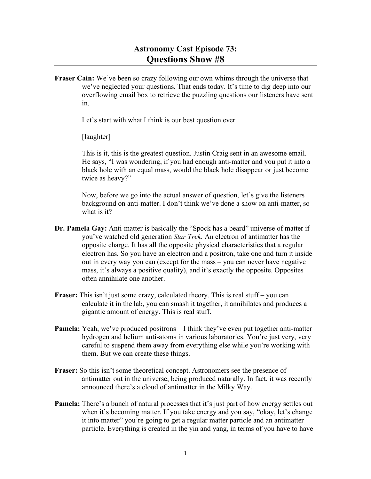**Fraser Cain:** We've been so crazy following our own whims through the universe that we've neglected your questions. That ends today. It's time to dig deep into our overflowing email box to retrieve the puzzling questions our listeners have sent in.

Let's start with what I think is our best question ever.

[laughter]

This is it, this is the greatest question. Justin Craig sent in an awesome email. He says, "I was wondering, if you had enough anti-matter and you put it into a black hole with an equal mass, would the black hole disappear or just become twice as heavy?"

Now, before we go into the actual answer of question, let's give the listeners background on anti-matter. I don't think we've done a show on anti-matter, so what is it?

- **Dr. Pamela Gay:** Anti-matter is basically the "Spock has a beard" universe of matter if you've watched old generation *Star Trek*. An electron of antimatter has the opposite charge. It has all the opposite physical characteristics that a regular electron has. So you have an electron and a positron, take one and turn it inside out in every way you can (except for the mass – you can never have negative mass, it's always a positive quality), and it's exactly the opposite. Opposites often annihilate one another.
- **Fraser:** This isn't just some crazy, calculated theory. This is real stuff you can calculate it in the lab, you can smash it together, it annihilates and produces a gigantic amount of energy. This is real stuff.
- **Pamela:** Yeah, we've produced positrons I think they've even put together anti-matter hydrogen and helium anti-atoms in various laboratories. You're just very, very careful to suspend them away from everything else while you're working with them. But we can create these things.
- **Fraser:** So this isn't some theoretical concept. Astronomers see the presence of antimatter out in the universe, being produced naturally. In fact, it was recently announced there's a cloud of antimatter in the Milky Way.
- **Pamela:** There's a bunch of natural processes that it's just part of how energy settles out when it's becoming matter. If you take energy and you say, "okay, let's change it into matter" you're going to get a regular matter particle and an antimatter particle. Everything is created in the yin and yang, in terms of you have to have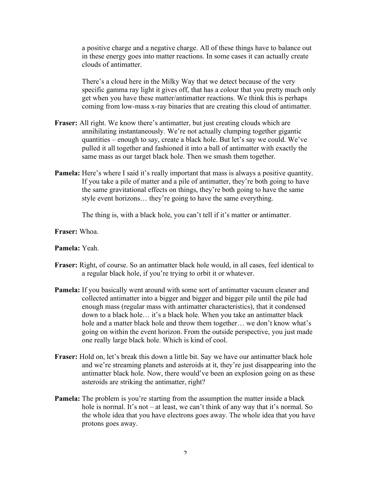a positive charge and a negative charge. All of these things have to balance out in these energy goes into matter reactions. In some cases it can actually create clouds of antimatter.

There's a cloud here in the Milky Way that we detect because of the very specific gamma ray light it gives off, that has a colour that you pretty much only get when you have these matter/antimatter reactions. We think this is perhaps coming from low-mass x-ray binaries that are creating this cloud of antimatter.

- **Fraser:** All right. We know there's antimatter, but just creating clouds which are annihilating instantaneously. We're not actually clumping together gigantic quantities – enough to say, create a black hole. But let's say we could. We've pulled it all together and fashioned it into a ball of antimatter with exactly the same mass as our target black hole. Then we smash them together.
- **Pamela:** Here's where I said it's really important that mass is always a positive quantity. If you take a pile of matter and a pile of antimatter, they're both going to have the same gravitational effects on things, they're both going to have the same style event horizons… they're going to have the same everything.

The thing is, with a black hole, you can't tell if it's matter or antimatter.

**Fraser:** Whoa.

#### **Pamela:** Yeah.

- **Fraser:** Right, of course. So an antimatter black hole would, in all cases, feel identical to a regular black hole, if you're trying to orbit it or whatever.
- **Pamela:** If you basically went around with some sort of antimatter vacuum cleaner and collected antimatter into a bigger and bigger and bigger pile until the pile had enough mass (regular mass with antimatter characteristics), that it condensed down to a black hole… it's a black hole. When you take an antimatter black hole and a matter black hole and throw them together… we don't know what's going on within the event horizon. From the outside perspective, you just made one really large black hole. Which is kind of cool.
- **Fraser:** Hold on, let's break this down a little bit. Say we have our antimatter black hole and we're streaming planets and asteroids at it, they're just disappearing into the antimatter black hole. Now, there would've been an explosion going on as these asteroids are striking the antimatter, right?
- **Pamela:** The problem is you're starting from the assumption the matter inside a black hole is normal. It's not – at least, we can't think of any way that it's normal. So the whole idea that you have electrons goes away. The whole idea that you have protons goes away.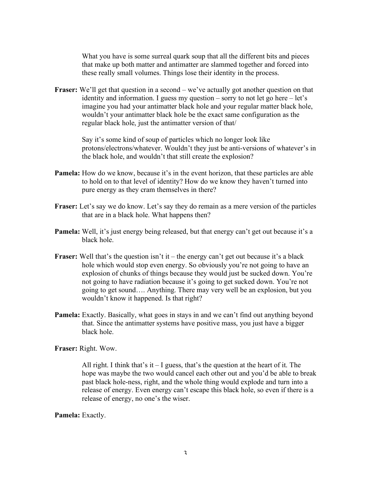What you have is some surreal quark soup that all the different bits and pieces that make up both matter and antimatter are slammed together and forced into these really small volumes. Things lose their identity in the process.

**Fraser:** We'll get that question in a second – we've actually got another question on that identity and information. I guess my question – sorry to not let go here – let's imagine you had your antimatter black hole and your regular matter black hole, wouldn't your antimatter black hole be the exact same configuration as the regular black hole, just the antimatter version of that/

> Say it's some kind of soup of particles which no longer look like protons/electrons/whatever. Wouldn't they just be anti-versions of whatever's in the black hole, and wouldn't that still create the explosion?

- **Pamela:** How do we know, because it's in the event horizon, that these particles are able to hold on to that level of identity? How do we know they haven't turned into pure energy as they cram themselves in there?
- Fraser: Let's say we do know. Let's say they do remain as a mere version of the particles that are in a black hole. What happens then?
- **Pamela:** Well, it's just energy being released, but that energy can't get out because it's a black hole.
- **Fraser:** Well that's the question isn't it the energy can't get out because it's a black hole which would stop even energy. So obviously you're not going to have an explosion of chunks of things because they would just be sucked down. You're not going to have radiation because it's going to get sucked down. You're not going to get sound…. Anything. There may very well be an explosion, but you wouldn't know it happened. Is that right?
- **Pamela:** Exactly. Basically, what goes in stays in and we can't find out anything beyond that. Since the antimatter systems have positive mass, you just have a bigger black hole.

**Fraser:** Right. Wow.

All right. I think that's it  $-1$  guess, that's the question at the heart of it. The hope was maybe the two would cancel each other out and you'd be able to break past black hole-ness, right, and the whole thing would explode and turn into a release of energy. Even energy can't escape this black hole, so even if there is a release of energy, no one's the wiser.

**Pamela:** Exactly.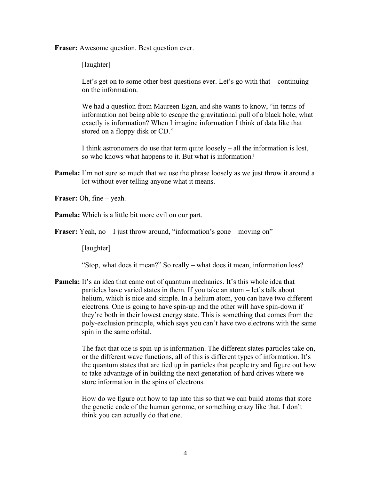**Fraser:** Awesome question. Best question ever.

[laughter]

Let's get on to some other best questions ever. Let's go with that – continuing on the information.

We had a question from Maureen Egan, and she wants to know, "in terms of information not being able to escape the gravitational pull of a black hole, what exactly is information? When I imagine information I think of data like that stored on a floppy disk or CD."

I think astronomers do use that term quite loosely – all the information is lost, so who knows what happens to it. But what is information?

**Pamela:** I'm not sure so much that we use the phrase loosely as we just throw it around a lot without ever telling anyone what it means.

**Fraser:** Oh, fine – yeah.

**Pamela:** Which is a little bit more evil on our part.

**Fraser:** Yeah, no – I just throw around, "information's gone – moving on"

[laughter]

"Stop, what does it mean?" So really – what does it mean, information loss?

**Pamela:** It's an idea that came out of quantum mechanics. It's this whole idea that particles have varied states in them. If you take an atom – let's talk about helium, which is nice and simple. In a helium atom, you can have two different electrons. One is going to have spin-up and the other will have spin-down if they're both in their lowest energy state. This is something that comes from the poly-exclusion principle, which says you can't have two electrons with the same spin in the same orbital.

> The fact that one is spin-up is information. The different states particles take on, or the different wave functions, all of this is different types of information. It's the quantum states that are tied up in particles that people try and figure out how to take advantage of in building the next generation of hard drives where we store information in the spins of electrons.

How do we figure out how to tap into this so that we can build atoms that store the genetic code of the human genome, or something crazy like that. I don't think you can actually do that one.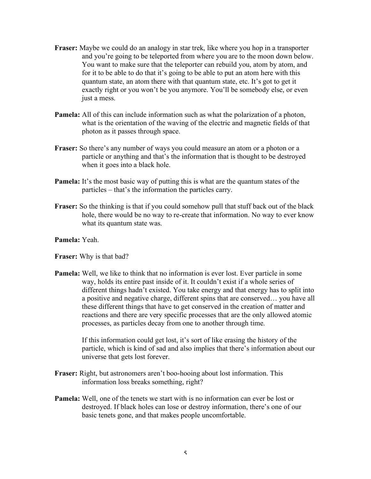- **Fraser:** Maybe we could do an analogy in star trek, like where you hop in a transporter and you're going to be teleported from where you are to the moon down below. You want to make sure that the teleporter can rebuild you, atom by atom, and for it to be able to do that it's going to be able to put an atom here with this quantum state, an atom there with that quantum state, etc. It's got to get it exactly right or you won't be you anymore. You'll be somebody else, or even just a mess.
- **Pamela:** All of this can include information such as what the polarization of a photon, what is the orientation of the waving of the electric and magnetic fields of that photon as it passes through space.
- **Fraser:** So there's any number of ways you could measure an atom or a photon or a particle or anything and that's the information that is thought to be destroyed when it goes into a black hole.
- **Pamela:** It's the most basic way of putting this is what are the quantum states of the particles – that's the information the particles carry.
- **Fraser:** So the thinking is that if you could somehow pull that stuff back out of the black hole, there would be no way to re-create that information. No way to ever know what its quantum state was.

### **Pamela:** Yeah.

**Fraser:** Why is that bad?

**Pamela:** Well, we like to think that no information is ever lost. Ever particle in some way, holds its entire past inside of it. It couldn't exist if a whole series of different things hadn't existed. You take energy and that energy has to split into a positive and negative charge, different spins that are conserved… you have all these different things that have to get conserved in the creation of matter and reactions and there are very specific processes that are the only allowed atomic processes, as particles decay from one to another through time.

> If this information could get lost, it's sort of like erasing the history of the particle, which is kind of sad and also implies that there's information about our universe that gets lost forever.

- **Fraser:** Right, but astronomers aren't boo-hooing about lost information. This information loss breaks something, right?
- **Pamela:** Well, one of the tenets we start with is no information can ever be lost or destroyed. If black holes can lose or destroy information, there's one of our basic tenets gone, and that makes people uncomfortable.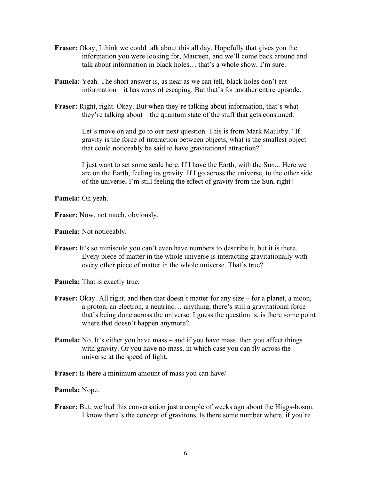- **Fraser:** Okay, I think we could talk about this all day. Hopefully that gives you the information you were looking for, Maureen, and we'll come back around and talk about information in black holes… that's a whole show, I'm sure.
- **Pamela:** Yeah. The short answer is, as near as we can tell, black holes don't eat information – it has ways of escaping. But that's for another entire episode.
- **Fraser:** Right, right. Okay. But when they're talking about information, that's what they're talking about – the quantum state of the stuff that gets consumed.

Let's move on and go to our next question. This is from Mark Maultby. "If gravity is the force of interaction between objects, what is the smallest object that could noticeably be said to have gravitational attraction?"

I just want to set some scale here. If I have the Earth, with the Sun... Here we are on the Earth, feeling its gravity. If I go across the universe, to the other side of the universe, I'm still feeling the effect of gravity from the Sun, right?

#### **Pamela:** Oh yeah.

**Fraser:** Now, not much, obviously.

**Pamela:** Not noticeably.

**Fraser:** It's so miniscule you can't even have numbers to describe it, but it is there. Every piece of matter in the whole universe is interacting gravitationally with every other piece of matter in the whole universe. That's true?

**Pamela:** That is exactly true.

- **Fraser:** Okay. All right, and then that doesn't matter for any size for a planet, a moon, a proton, an electron, a neutrino… anything, there's still a gravitational force that's being done across the universe. I guess the question is, is there some point where that doesn't happen anymore?
- **Pamela:** No. It's either you have mass and if you have mass, then you affect things with gravity. Or you have no mass, in which case you can fly across the universe at the speed of light.

**Fraser:** Is there a minimum amount of mass you can have/

#### **Pamela:** Nope.

**Fraser:** But, we had this conversation just a couple of weeks ago about the Higgs-boson. I know there's the concept of gravitons. Is there some number where, if you're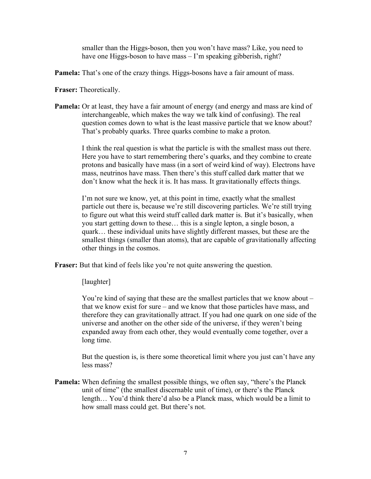smaller than the Higgs-boson, then you won't have mass? Like, you need to have one Higgs-boson to have mass – I'm speaking gibberish, right?

**Pamela:** That's one of the crazy things. Higgs-bosons have a fair amount of mass.

**Fraser:** Theoretically.

**Pamela:** Or at least, they have a fair amount of energy (and energy and mass are kind of interchangeable, which makes the way we talk kind of confusing). The real question comes down to what is the least massive particle that we know about? That's probably quarks. Three quarks combine to make a proton.

> I think the real question is what the particle is with the smallest mass out there. Here you have to start remembering there's quarks, and they combine to create protons and basically have mass (in a sort of weird kind of way). Electrons have mass, neutrinos have mass. Then there's this stuff called dark matter that we don't know what the heck it is. It has mass. It gravitationally effects things.

> I'm not sure we know, yet, at this point in time, exactly what the smallest particle out there is, because we're still discovering particles. We're still trying to figure out what this weird stuff called dark matter is. But it's basically, when you start getting down to these… this is a single lepton, a single boson, a quark… these individual units have slightly different masses, but these are the smallest things (smaller than atoms), that are capable of gravitationally affecting other things in the cosmos.

**Fraser:** But that kind of feels like you're not quite answering the question.

[laughter]

You're kind of saying that these are the smallest particles that we know about – that we know exist for sure – and we know that those particles have mass, and therefore they can gravitationally attract. If you had one quark on one side of the universe and another on the other side of the universe, if they weren't being expanded away from each other, they would eventually come together, over a long time.

But the question is, is there some theoretical limit where you just can't have any less mass?

**Pamela:** When defining the smallest possible things, we often say, "there's the Planck unit of time" (the smallest discernable unit of time), or there's the Planck length… You'd think there'd also be a Planck mass, which would be a limit to how small mass could get. But there's not.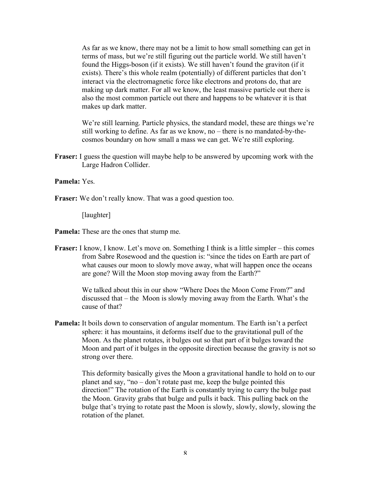As far as we know, there may not be a limit to how small something can get in terms of mass, but we're still figuring out the particle world. We still haven't found the Higgs-boson (if it exists). We still haven't found the graviton (if it exists). There's this whole realm (potentially) of different particles that don't interact via the electromagnetic force like electrons and protons do, that are making up dark matter. For all we know, the least massive particle out there is also the most common particle out there and happens to be whatever it is that makes up dark matter.

We're still learning. Particle physics, the standard model, these are things we're still working to define. As far as we know, no – there is no mandated-by-thecosmos boundary on how small a mass we can get. We're still exploring.

**Fraser:** I guess the question will maybe help to be answered by upcoming work with the Large Hadron Collider.

### **Pamela:** Yes.

**Fraser:** We don't really know. That was a good question too.

[laughter]

- **Pamela:** These are the ones that stump me.
- **Fraser:** I know, I know. Let's move on. Something I think is a little simpler this comes from Sabre Rosewood and the question is: "since the tides on Earth are part of what causes our moon to slowly move away, what will happen once the oceans are gone? Will the Moon stop moving away from the Earth?"

We talked about this in our show "Where Does the Moon Come From?" and discussed that – the Moon is slowly moving away from the Earth. What's the cause of that?

**Pamela:** It boils down to conservation of angular momentum. The Earth isn't a perfect sphere: it has mountains, it deforms itself due to the gravitational pull of the Moon. As the planet rotates, it bulges out so that part of it bulges toward the Moon and part of it bulges in the opposite direction because the gravity is not so strong over there.

> This deformity basically gives the Moon a gravitational handle to hold on to our planet and say, "no – don't rotate past me, keep the bulge pointed this direction!" The rotation of the Earth is constantly trying to carry the bulge past the Moon. Gravity grabs that bulge and pulls it back. This pulling back on the bulge that's trying to rotate past the Moon is slowly, slowly, slowly, slowing the rotation of the planet.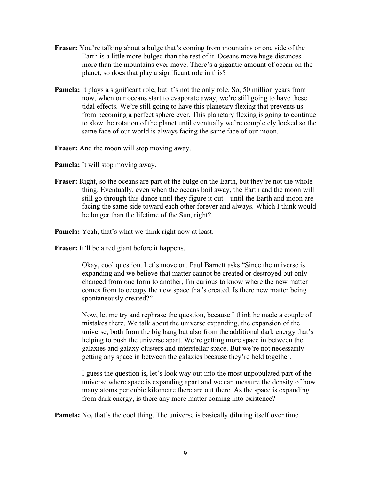- **Fraser:** You're talking about a bulge that's coming from mountains or one side of the Earth is a little more bulged than the rest of it. Oceans move huge distances – more than the mountains ever move. There's a gigantic amount of ocean on the planet, so does that play a significant role in this?
- **Pamela:** It plays a significant role, but it's not the only role. So, 50 million years from now, when our oceans start to evaporate away, we're still going to have these tidal effects. We're still going to have this planetary flexing that prevents us from becoming a perfect sphere ever. This planetary flexing is going to continue to slow the rotation of the planet until eventually we're completely locked so the same face of our world is always facing the same face of our moon.

**Fraser:** And the moon will stop moving away.

**Pamela:** It will stop moving away.

**Fraser:** Right, so the oceans are part of the bulge on the Earth, but they're not the whole thing. Eventually, even when the oceans boil away, the Earth and the moon will still go through this dance until they figure it out – until the Earth and moon are facing the same side toward each other forever and always. Which I think would be longer than the lifetime of the Sun, right?

**Pamela:** Yeah, that's what we think right now at least.

**Fraser:** It'll be a red giant before it happens.

Okay, cool question. Let's move on. Paul Barnett asks "Since the universe is expanding and we believe that matter cannot be created or destroyed but only changed from one form to another, I'm curious to know where the new matter comes from to occupy the new space that's created. Is there new matter being spontaneously created?"

Now, let me try and rephrase the question, because I think he made a couple of mistakes there. We talk about the universe expanding, the expansion of the universe, both from the big bang but also from the additional dark energy that's helping to push the universe apart. We're getting more space in between the galaxies and galaxy clusters and interstellar space. But we're not necessarily getting any space in between the galaxies because they're held together.

I guess the question is, let's look way out into the most unpopulated part of the universe where space is expanding apart and we can measure the density of how many atoms per cubic kilometre there are out there. As the space is expanding from dark energy, is there any more matter coming into existence?

**Pamela:** No, that's the cool thing. The universe is basically diluting itself over time.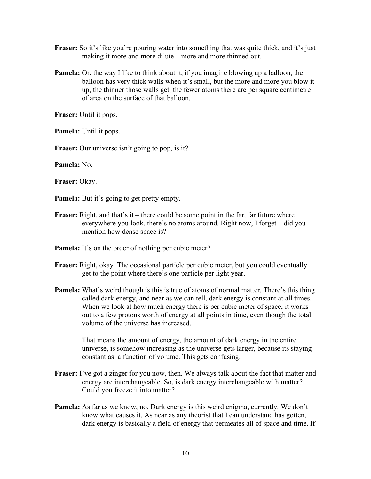- **Fraser:** So it's like you're pouring water into something that was quite thick, and it's just making it more and more dilute – more and more thinned out.
- **Pamela:** Or, the way I like to think about it, if you imagine blowing up a balloon, the balloon has very thick walls when it's small, but the more and more you blow it up, the thinner those walls get, the fewer atoms there are per square centimetre of area on the surface of that balloon.

**Fraser:** Until it pops.

**Pamela:** Until it pops.

**Fraser:** Our universe isn't going to pop, is it?

**Pamela:** No.

**Fraser:** Okay.

**Pamela:** But it's going to get pretty empty.

- **Fraser:** Right, and that's it there could be some point in the far, far future where everywhere you look, there's no atoms around. Right now, I forget – did you mention how dense space is?
- **Pamela:** It's on the order of nothing per cubic meter?
- **Fraser:** Right, okay. The occasional particle per cubic meter, but you could eventually get to the point where there's one particle per light year.
- **Pamela:** What's weird though is this is true of atoms of normal matter. There's this thing called dark energy, and near as we can tell, dark energy is constant at all times. When we look at how much energy there is per cubic meter of space, it works out to a few protons worth of energy at all points in time, even though the total volume of the universe has increased.

That means the amount of energy, the amount of dark energy in the entire universe, is somehow increasing as the universe gets larger, because its staying constant as a function of volume. This gets confusing.

- **Fraser:** I've got a zinger for you now, then. We always talk about the fact that matter and energy are interchangeable. So, is dark energy interchangeable with matter? Could you freeze it into matter?
- **Pamela:** As far as we know, no. Dark energy is this weird enigma, currently. We don't know what causes it. As near as any theorist that I can understand has gotten, dark energy is basically a field of energy that permeates all of space and time. If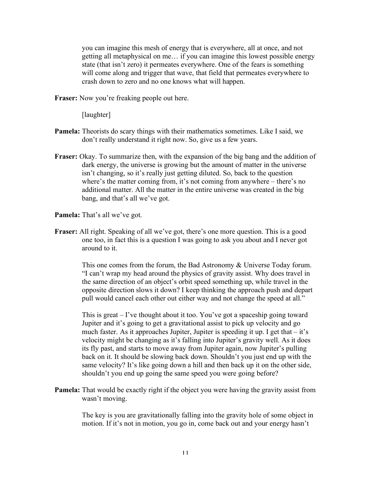you can imagine this mesh of energy that is everywhere, all at once, and not getting all metaphysical on me… if you can imagine this lowest possible energy state (that isn't zero) it permeates everywhere. One of the fears is something will come along and trigger that wave, that field that permeates everywhere to crash down to zero and no one knows what will happen.

**Fraser:** Now you're freaking people out here.

[laughter]

- **Pamela:** Theorists do scary things with their mathematics sometimes. Like I said, we don't really understand it right now. So, give us a few years.
- **Fraser:** Okay. To summarize then, with the expansion of the big bang and the addition of dark energy, the universe is growing but the amount of matter in the universe isn't changing, so it's really just getting diluted. So, back to the question where's the matter coming from, it's not coming from anywhere – there's no additional matter. All the matter in the entire universe was created in the big bang, and that's all we've got.

**Pamela:** That's all we've got.

**Fraser:** All right. Speaking of all we've got, there's one more question. This is a good one too, in fact this is a question I was going to ask you about and I never got around to it.

> This one comes from the forum, the Bad Astronomy & Universe Today forum. "I can't wrap my head around the physics of gravity assist. Why does travel in the same direction of an object's orbit speed something up, while travel in the opposite direction slows it down? I keep thinking the approach push and depart pull would cancel each other out either way and not change the speed at all."

> This is great – I've thought about it too. You've got a spaceship going toward Jupiter and it's going to get a gravitational assist to pick up velocity and go much faster. As it approaches Jupiter, Jupiter is speeding it up. I get that  $-$  it's velocity might be changing as it's falling into Jupiter's gravity well. As it does its fly past, and starts to move away from Jupiter again, now Jupiter's pulling back on it. It should be slowing back down. Shouldn't you just end up with the same velocity? It's like going down a hill and then back up it on the other side, shouldn't you end up going the same speed you were going before?

**Pamela:** That would be exactly right if the object you were having the gravity assist from wasn't moving.

> The key is you are gravitationally falling into the gravity hole of some object in motion. If it's not in motion, you go in, come back out and your energy hasn't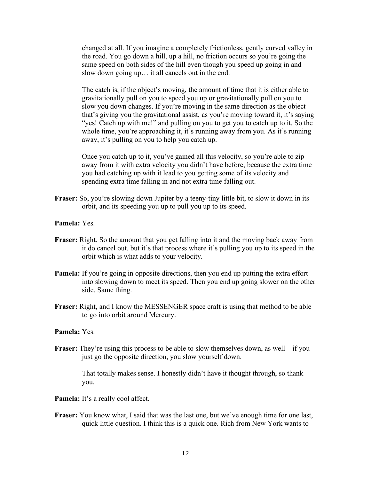changed at all. If you imagine a completely frictionless, gently curved valley in the road. You go down a hill, up a hill, no friction occurs so you're going the same speed on both sides of the hill even though you speed up going in and slow down going up… it all cancels out in the end.

The catch is, if the object's moving, the amount of time that it is either able to gravitationally pull on you to speed you up or gravitationally pull on you to slow you down changes. If you're moving in the same direction as the object that's giving you the gravitational assist, as you're moving toward it, it's saying "yes! Catch up with me!" and pulling on you to get you to catch up to it. So the whole time, you're approaching it, it's running away from you. As it's running away, it's pulling on you to help you catch up.

Once you catch up to it, you've gained all this velocity, so you're able to zip away from it with extra velocity you didn't have before, because the extra time you had catching up with it lead to you getting some of its velocity and spending extra time falling in and not extra time falling out.

- **Fraser:** So, you're slowing down Jupiter by a teeny-tiny little bit, to slow it down in its orbit, and its speeding you up to pull you up to its speed.
- **Pamela:** Yes.
- **Fraser:** Right. So the amount that you get falling into it and the moving back away from it do cancel out, but it's that process where it's pulling you up to its speed in the orbit which is what adds to your velocity.
- **Pamela:** If you're going in opposite directions, then you end up putting the extra effort into slowing down to meet its speed. Then you end up going slower on the other side. Same thing.
- **Fraser:** Right, and I know the MESSENGER space craft is using that method to be able to go into orbit around Mercury.

# **Pamela:** Yes.

**Fraser:** They're using this process to be able to slow themselves down, as well – if you just go the opposite direction, you slow yourself down.

> That totally makes sense. I honestly didn't have it thought through, so thank you.

- Pamela: It's a really cool affect.
- **Fraser:** You know what, I said that was the last one, but we've enough time for one last, quick little question. I think this is a quick one. Rich from New York wants to